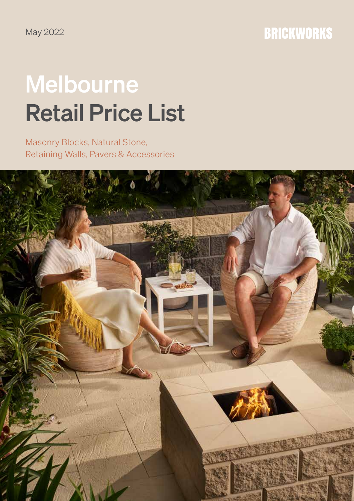May 2022

# **BRICKWORKS**

# Melbourne Retail Price List

Masonry Blocks, Natural Stone, Retaining Walls, Pavers & Accessories

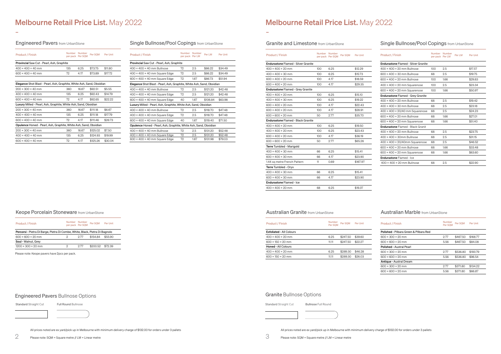| <b>Product / Finish</b>         | <b>Number</b><br>Per SOM | Per SOM  | Per Unit |
|---------------------------------|--------------------------|----------|----------|
| <b>Exfoliated - All Colours</b> |                          |          |          |
| $400 \times 400 \times 20$ mm   | 6.25                     | \$247.50 | \$39.60  |
| $600 \times 150 \times 20$ mm   | 11.11                    | \$247.50 | \$22.27  |
| Honed - All Colours             |                          |          |          |
| $400 \times 400 \times 20$ mm   | 6.25                     | \$289.30 | \$46.28  |
| $600 \times 150 \times 20$ mm   | 11.11                    | \$289.30 | \$26.03  |

| <b>Product / Finish</b>                | <b>Number</b><br>Per SQM | Per SOM  | Per Unit |
|----------------------------------------|--------------------------|----------|----------|
| Polished - Pilbara Green & Pilbara Red |                          |          |          |
| $600 \times 300 \times 20$ mm          | 2.77                     | \$467.50 | \$168.77 |
| $600 \times 600 \times 20$ mm          | 5.56                     | \$467.50 | \$84.08  |
| <b>Polished - Austral Pearl</b>        |                          |          |          |
| $600 \times 300 \times 20$ mm          | 2.77                     | \$536.80 | \$193.79 |
| $600 \times 600 \times 20$ mm          | 5.56                     | \$536.80 | \$96.54  |
| Antique - Austral Dream                |                          |          |          |
| $600 \times 300 \times 20$ mm          | 2.77                     | \$371.80 | \$134.22 |
| $600 \times 600 \times 20$ mm          | 5.56                     | \$371.80 | \$66.87  |

# Melbourne Retail Price List. May 2022

# Engineered Pavers from UrbanStone

-

# Melbourne Retail Price List. May 2022

#### Granite and Limestone from UrbanStone

-

# **Australian Granite from UrbanStone**

All prices noted are ex yard/pick up in Melbourne with minimum delivery charge of \$132.00 for orders under 3 pallets

All prices noted are ex yard/pick up in Melbourne with minimum delivery charge of \$132.00 for orders under 3 pallets

Please note: SQM = Square metre // LM = Linear metre

# Single Bullnose/Pool Copings from UrbanStone

| <b>Product / Finish</b>                                                 | Number | Number<br>per pack Per SOM | Per SOM  | Per Unit |  |
|-------------------------------------------------------------------------|--------|----------------------------|----------|----------|--|
| Provincial Saw Cut - Pearl, Ash, Graphite                               |        |                            |          |          |  |
| $400 \times 400 \times 40$ mm                                           | 135    | 6.25                       | \$73.75  | \$11.80  |  |
| $600 \times 400 \times 40$ mm                                           | 72     | 4.17                       | \$73.89  | \$17.72  |  |
|                                                                         |        |                            |          |          |  |
| Elegance Shot Blast - Pearl, Ash, Graphite, White Ash, Sand, Obsidian   |        |                            |          |          |  |
| $200 \times 300 \times 40$ mm                                           | 360    | 16.67                      | \$92.51  | \$5.55   |  |
| $400 \times 400 \times 40$ mm                                           | 135    | 6.25                       | \$92.43  | \$14.79  |  |
| $600 \times 400 \times 40$ mm                                           | 72     | 4.17                       | \$92.65  | \$22.22  |  |
| Luxury Milled - Pearl, Ash, Graphite, White Ash, Sand, Obsidian         |        |                            |          |          |  |
| $200 \times 300 \times 40$ mm                                           | 360    | 16.67                      | \$111.18 | \$6.67   |  |
| $400 \times 400 \times 40$ mm                                           | 135    | 6.25                       | \$111.18 | \$17.79  |  |
| $600 \times 400 \times 40$ mm                                           | 72     | 4.17                       | \$111.46 | \$26.73  |  |
| <b>Opulence</b> Honed - Pearl, Ash, Graphite, White Ash, Sand, Obsidian |        |                            |          |          |  |
| $200 \times 300 \times 40$ mm                                           | 360    | 16.67                      | \$125.02 | \$7.50   |  |
| $400 \times 400 \times 40$ mm                                           | 135    | 6.25                       | \$124.93 | \$19.99  |  |
| $600 \times 400 \times 40$ mm                                           | 72     | 4.17                       | \$125.26 | \$30.04  |  |

# Single Bullnose/Pool Copings from UrbanStone

| <b>Product / Finish</b>                    |                  | Number Number<br>Per SOM<br>per pack Per SQM | <b>Per Unit</b> |
|--------------------------------------------|------------------|----------------------------------------------|-----------------|
| <b>Endurastone Flamed - Silver Granite</b> |                  |                                              |                 |
| $400 \times 400 \times 20$ mm              | 100 <sub>o</sub> | 6.25                                         | \$12.29         |
| $400 \times 400 \times 30$ mm              | 100 <sub>o</sub> | 6.25                                         | \$15.73         |
| $600 \times 400 \times 20$ mm              | 100 <sub>o</sub> | 4.17                                         | \$18.59         |
| $600 \times 400 \times 20$ mm              | 100 <sub>o</sub> | 4.17                                         | \$29.35         |
| <b>Endurastone Flamed - Grey Granite</b>   |                  |                                              |                 |
| $400 \times 400 \times 20$ mm              | 100              | 6.25                                         | \$15.10         |
| $400 \times 400 \times 30$ mm              | 100              | 6.25                                         | \$19.22         |
| $600 \times 400 \times 20$ mm              | 100              | 4.17                                         | \$22.43         |
| $600 \times 400 \times 20$ mm              | 100              | 4.17                                         | \$28.91         |
| $600 \times 600 \times 20$ mm              | 50               | 2.77                                         | \$35.70         |
| <b>Endurastone Flamed - Black Granite</b>  |                  |                                              |                 |
| $400 \times 400 \times 20$ mm              | 100              | 6.25                                         | \$19.50         |
| $400 \times 400 \times 20$ mm              | 100              | 6.25                                         | \$23.43         |
| $600 \times 400 \times 20$ mm              | 100              | 4.17                                         | \$36.19         |
| $600 \times 600 \times 20$ mm              | 50               | 2.77                                         | \$65.26         |
| Terre Tumbled - Marigold                   |                  |                                              |                 |
| $400 \times 400 \times 30$ mm              | 66               | 6.25                                         | \$15.41         |
| $600 \times 400 \times 30$ mm              | 66               | 4.17                                         | \$23.90         |
| 1.44 sq metre French Pattern               | 11               | 0.69                                         | \$167.97        |
| Terre Tumbled - Oryx                       |                  |                                              |                 |
| $400 \times 400 \times 30$ mm              | 66               | 6.25                                         | \$15.41         |
| $600 \times 400 \times 30$ mm              | 66               | 4.17                                         | \$23.90         |
| <b>Endurastone Flamed - Ice</b>            |                  |                                              |                 |
| 400 × 400 × 20 mm                          | 68               | 6.25                                         | \$19.37         |

# Keope Porcelain Stoneware from UrbanStone

| <b>Product / Finish</b>                                                      | Number Number | per pack Per SQM | Per SQM  | Per Unit |
|------------------------------------------------------------------------------|---------------|------------------|----------|----------|
| Percorsi - Pietra Di Barge, Pietra Di Combe, White, Black, Pietra Di Bagnolo |               |                  |          |          |
| $600 \times 600 \times 20$ mm                                                | 2             | 2 77             | \$154.84 | \$55.90  |
| Soul - Walnut, Grey                                                          |               |                  |          |          |
| $1200 \times 300 \times 20$ mm                                               | っ             | 2 77             | \$200.52 | \$72.39  |

| <b>Product / Finish</b>                                               | <b>Number</b><br>per pack Per LM | Number | Per LM   | Per Unit |  |  |
|-----------------------------------------------------------------------|----------------------------------|--------|----------|----------|--|--|
| Provincial Saw Cut - Pearl, Ash, Graphite                             |                                  |        |          |          |  |  |
| $400 \times 400 \times 40$ mm Bullnose                                | 72                               | 2.5    | \$86.22  | \$34.49  |  |  |
| $400 \times 400 \times 40$ mm Square Edge                             | 72                               | 2.5    | \$86.22  | \$34.49  |  |  |
| $600 \times 400 \times 40$ mm Square Edge                             | 72                               | 1.67   | \$86.73  | \$51.94  |  |  |
| Elegance Shot Blast - Pearl, Ash, Graphite, White Ash, Sand, Obsidian |                                  |        |          |          |  |  |
| $400 \times 400 \times 40$ mm Bullnose                                | 72                               | 2.5    | \$121.20 | \$42.48  |  |  |
| $400 \times 400 \times 40$ mm Square Edge                             | 72                               | 2.5    | \$121.20 | \$42.48  |  |  |
| $600 \times 400 \times 40$ mm Square Edge                             | 40                               | 1.67   | \$106.84 | \$63.98  |  |  |
| Luxury Milled - Pearl, Ash, Graphite, White Ash, Sand, Obsidian       |                                  |        |          |          |  |  |
| $400 \times 400 \times 40$ mm Bullnose                                | 72                               | 2.5    | \$118.70 | \$47.48  |  |  |
| $400 \times 400 \times 40$ mm Square Edge                             | 72                               | 2.5    | \$118.70 | \$47.48  |  |  |
| $600 \times 400 \times 40$ mm Square Edge                             | 40                               | 1.67   | \$119.40 | \$71.50  |  |  |
| Opulence Honed - Pearl, Ash, Graphite, White Ash, Sand, Obsidian      |                                  |        |          |          |  |  |
| $400 \times 400 \times 40$ mm Bullnose                                | 72                               | 2.5    | \$131.20 | \$52.48  |  |  |
| $400 \times 400 \times 40$ mm Square Edge                             | 72                               | 2.5    | \$131.20 | \$52.48  |  |  |
| $600 \times 400 \times 40$ mm Square Edge                             | 72                               | 1.67   | \$131.98 | \$79.03  |  |  |

| <b>Product / Finish</b>                     | per pack Per LM | Number Number<br>Per LM | <b>Per Unit</b> |
|---------------------------------------------|-----------------|-------------------------|-----------------|
| <b>Endurastone Flamed - Silver Granite</b>  |                 |                         |                 |
| $400 \times 400 \times 20$ mm Bullnose      | 100             | 2.5                     | \$17.57         |
| $600 \times 400 \times 30$ mm Bullnose      | 68              | 2.5                     | \$19.75         |
| $600 \times 400 \times 20$ mm Bullnose      | 100             | 1.66                    | \$29.83         |
| $400 \times 400 \times 20$ mm Squarenose    | 100             | 2.5                     | \$23.34         |
| $600 \times 400 \times 20$ mm Squarenose    | 100             | 1.66                    | \$50.97         |
| <b>Endurastone Flamed - Grey Granite</b>    |                 |                         |                 |
| $400 \times 400 \times 20$ mm Bullnose      | 68              | 2.5                     | \$19.42         |
| $400 \times 400 \times 30$ mm Bullnose      | 68              | 2.5                     | \$23.18         |
| 400 × 400 × 20/40 mm Squarenose             | 68              | 2.5                     | \$24.23         |
| $600 \times 400 \times 20$ mm Bullnose      | 68              | 1.66                    | \$27.01         |
| $600 \times 400 \times 20$ mm Squarenose    | 68              | 1.66                    | \$51.40         |
| <b>Endurastone Flamed - Black Granit</b>    |                 |                         |                 |
| $400 \times 400 \times 20$ mm Bullnose      | 68              | 2.5                     | \$23.75         |
| $400 \times 400 \times 30$ mm Bullnose      | 68              | 2.5                     | \$31.15         |
| $400 \times 400 \times 20/40$ mm Squarenose | 68              | 2.5                     | \$46.52         |
| $600 \times 400 \times 20$ mm Bullnose      | 68              | 1.66                    | \$33.48         |
| $600 \times 400 \times 20$ mm Squarenose    | 68              | 1.66                    | \$63.60         |
| <b>Endurastone Flamed - Ice</b>             |                 |                         |                 |
| $400 \times 400 \times 20$ mm Bullnose      | 68              | 2.5                     | \$22.90         |

# Australian Marble from UrbanStone

# Engineered Pavers Bullnose Options

Standard Straight Cut Full Round Bullnose

### Granite Bullnose Options



Please note: Keope pavers have 2pcs per pack.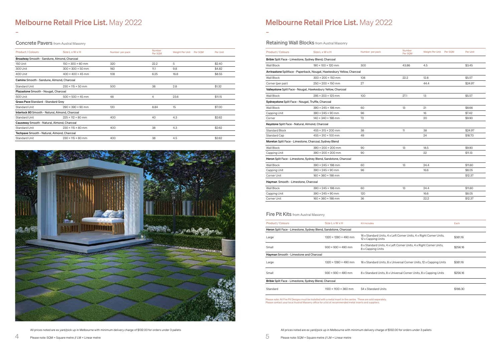| <b>Product / Colours</b>                                        | $Size L \times W \times H$       | Kit Includes                                                                              | Each     |
|-----------------------------------------------------------------|----------------------------------|-------------------------------------------------------------------------------------------|----------|
| Heron Split Face - Limestone, Sydney Blend, Sandstone, Charcoal |                                  |                                                                                           |          |
| Large                                                           | 1320 × 1280 × 490 mm             | 16 x Standard Units, 4 x Left Corner Units, 4 x Right Corner Units,<br>12 x Capping Units | \$381.16 |
| Small                                                           | $930 \times 930 \times 490$ mm   | 8 x Standard Units, 4 x Left Corner Units, 4 x Right Corner Units,<br>8 x Capping Units   | \$256.16 |
| Hayman Smooth - Limestone and Charcoal                          |                                  |                                                                                           |          |
| Large                                                           | 1320 × 1280 × 490 mm             | 16 x Standard Units, 8 x Universal Corner Units, 12 x Capping Units                       | \$381.16 |
| Small                                                           | $930 \times 930 \times 490$ mm   | 8 x Standard Units, 8 x Universal Corner Units, 8 x Capping Units                         | \$256.16 |
| Bribie Split Face - Limestone, Sydney Blend, Charcoal           |                                  |                                                                                           |          |
| Standard                                                        | $1100 \times 1100 \times 360$ mm | 54 x Standard Units                                                                       | \$186.30 |

Please note: All Fire Pit Designs must be installed with a metal insert in the centre. These are sold separately. Please contact your local Austral Masonry office for a list of recommended metal inserts and suppliers.

# Melbourne Retail Price List. May 2022

### **Concrete Pavers** from Austral Masonry

-

# Melbourne Retail Price List. May 2022

# Retaining Wall Blocks from Austral Masonry

-

All prices noted are ex yard/pick up in Melbourne with minimum delivery charge of \$132.00 for orders under 3 pallets

All prices noted are ex yard/pick up in Melbourne with minimum delivery charge of \$132.00 for orders under 3 pallets

| <b>Product / Colours</b>                           | <b>Size L x W x H</b>                                                  | Number per pack | Number<br>Per SOM | Weight Per Unit Per SQM | <b>Per Unit</b> |
|----------------------------------------------------|------------------------------------------------------------------------|-----------------|-------------------|-------------------------|-----------------|
|                                                    | Bribie Split Face - Limestone, Sydney Blend, Charcoal                  |                 |                   |                         |                 |
| Wall Block                                         | $190 \times 100 \times 120$ mm                                         | 300             | 43.86             | 4.5                     | \$3.45          |
|                                                    | Arrinastone Splitface - Paperback, Nougat, Hawkesbury Yellow, Charcoal |                 |                   |                         |                 |
| Wall Block                                         | $300 \times 200 \times 150$ mm                                         | 108             | 22.2              | 12.8                    | \$5.57          |
| Corner (per pair)                                  | $250 \times 200 \times 150$ mm                                         | 27              |                   | 44.4                    | \$24.97         |
|                                                    | Valleystone Split Face - Nougat, Hawkesbury Yellow, Charcoal           |                 |                   |                         |                 |
| Wall Block                                         | $295 \times 203 \times 125$ mm                                         | 100             | 27.1              | 13                      | \$5.57          |
| Sydneystone Split Face - Nougat, Truffle, Charcoal |                                                                        |                 |                   |                         |                 |
| Wall Block                                         | $390 \times 245 \times 198$ mm                                         | 60              | 13                | 21                      | \$8.66          |
| Capping Unit                                       | $390 \times 245 \times 90$ mm                                          | 96              |                   | 16                      | \$7.42          |
| Corner                                             | $140 \times 340 \times 198$ mm                                         | 72              |                   | 20                      | \$9.90          |
| Keystone Split Face - Natural, Almond, Charcoal    |                                                                        |                 |                   |                         |                 |
| <b>Standard Block</b>                              | $455 \times 315 \times 200$ mm                                         | 38              | 11                | 38                      | \$24.97         |
| Standard Cap                                       | $455 \times 310 \times 100$ mm                                         | 49              |                   | 24                      | \$18.70         |
|                                                    | Moreton Split Face - Limestone, Charcoal, Sydney Blend                 |                 |                   |                         |                 |
| Wall Block                                         | $390 \times 200 \times 200$ mm                                         | 90              | 13                | 18.5                    | \$9.90          |
| Capping Unit                                       | $390 \times 200 \times 200$ mm                                         | 90              |                   | 22                      | \$11.13         |
|                                                    | Heron Split Face - Limestone, Sydney Blend, Sandstone, Charcoal        |                 |                   |                         |                 |
| Wall Block                                         | $390 \times 245 \times 198$ mm                                         | 60              | 13                | 24.4                    | \$11.60         |
| Capping Unit                                       | $390 \times 245 \times 90$ mm                                          | 96              |                   | 16.6                    | \$8.05          |
| Corner Unit                                        | $160 \times 360 \times 198$ mm                                         |                 |                   |                         | \$12.37         |
| Hayman Smooth - Limestone, Charcoal                |                                                                        |                 |                   |                         |                 |
| Wall Block                                         | $390 \times 245 \times 198$ mm                                         | 60              | 13                | 24.4                    | \$11.60         |
| Capping Unit                                       | $390 \times 245 \times 90$ mm                                          | 120             |                   | 16.6                    | \$8.05          |
| Corner Unit                                        | $160 \times 360 \times 198$ mm                                         | 36              |                   | 22.2                    | \$12.37         |
|                                                    |                                                                        |                 |                   |                         |                 |

# Fire Pit Kits from Austral Masonry

| <b>Product / Colours</b>                        | Size L x W x H                | Number per pack | Number<br>Per SOM | Weight Per Unit<br>Per SOM | <b>Per Unit</b> |
|-------------------------------------------------|-------------------------------|-----------------|-------------------|----------------------------|-----------------|
| Broadway Smooth - Sandune, Almond, Charcoal     |                               |                 |                   |                            |                 |
| 150 Unit                                        | $150 \times 300 \times 60$ mm | 320             | 22.2              | 5                          | \$2.40          |
| 300 Unit                                        | $300 \times 300 \times 50$ mm | 160             | 11.1              | 9.8                        | \$4.82          |
| 400 Unit                                        | $400 \times 400 \times 45$ mm | 108             | 6.25              | 16.8                       | \$8.55          |
| Camino Smooth - Sandune, Almond, Charcoal       |                               |                 |                   |                            |                 |
| <b>Standard Unit</b>                            | $230 \times 115 \times 50$ mm | 500             | 38                | 2.8                        | \$1.32          |
| Plazastone Smooth - Nougat, Charcoal            |                               |                 |                   |                            |                 |
| 500 Unit                                        | $500 \times 500 \times 45$ mm | 48              | 4                 | 23.6                       | \$11.15         |
| Grass Pave Standard - Standard Grey             |                               |                 |                   |                            |                 |
| <b>Standard Unit</b>                            | $290 \times 390 \times 90$ mm | 120             | 8.84              | 15                         | \$7.00          |
| Interlock 80 Smooth - Natural, Almond, Charcoal |                               |                 |                   |                            |                 |
| <b>Standard Unit</b>                            | $225 \times 112 \times 80$ mm | 400             | 40                | 4.3                        | \$2.62          |
| Causeway Smooth - Natural, Almond, Charcoal     |                               |                 |                   |                            |                 |
| <b>Standard Unit</b>                            | $230 \times 115 \times 80$ mm | 400             | 38                | 4.3                        | \$2.62          |
| Techpave Smooth - Natural, Almond, Charcoal     |                               |                 |                   |                            |                 |
| Standard Unit                                   | $230 \times 115 \times 80$ mm | 400             | 38                | 4.5                        | \$2.62          |
|                                                 |                               |                 |                   |                            |                 |

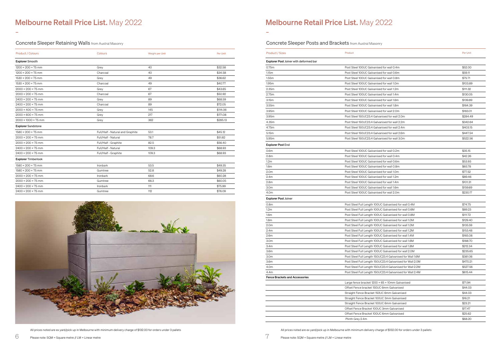-

# Melbourne Retail Price List. May 2022

-

All prices noted are ex yard/pick up in Melbourne with minimum delivery charge of \$132.00 for orders under 3 pallets

All prices noted are ex yard/pick up in Melbourne with minimum delivery charge of \$132.00 for orders under 3 pallets

Concrete Sleeper Retaining Walls from Austral Masonry

| <b>Product / Colours</b>        | Colours                          | Weight per Unit | <b>Per Unit</b> |
|---------------------------------|----------------------------------|-----------------|-----------------|
| <b>Explorer Smooth</b>          |                                  |                 |                 |
| $1200 \times 200 \times 75$ mm  | Grey                             | 40              | \$32.58         |
| $1200 \times 200 \times 75$ mm  | Charcoal                         | 40              | \$34.58         |
| $1530 \times 200 \times 75$ mm  | Grey                             | 49              | \$36.62         |
| $1530 \times 200 \times 75$ mm  | Charcoal                         | 49              | \$40.77         |
| $2000 \times 200 \times 75$ mm  | Grey                             | 67              | \$43.65         |
| $2000 \times 200 \times 75$ mm  | Charcoal                         | 67              | \$50.92         |
| $2400 \times 200 \times 75$ mm  | Grey                             | 89              | \$68.59         |
| $2400 \times 200 \times 75$ mm  | Charcoal                         | 89              | \$72.05         |
| $2000 \times 400 \times 75$ mm  | Grey                             | 145             | \$114.06        |
| $2000 \times 600 \times 75$ mm  | Grey                             | 217             | \$171.08        |
| $2000 \times 1000 \times 75$ mm | Grey                             | 362             | \$285.13        |
| <b>Explorer Sandstone</b>       |                                  |                 |                 |
| $1580 \times 200 \times 75$ mm  | Full/Half - Natural and Graphite | 53.1            | \$45.12         |
| $2000 \times 200 \times 75$ mm  | Full/Half - Natural              | 78.7            | \$51.82         |
| $2000 \times 200 \times 75$ mm  | Full/Half - Graphite             | 82.5            | \$56.40         |
| $2400 \times 200 \times 75$ mm  | Full/Half - Natural              | 109.3           | \$68.93         |
| $2400 \times 200 \times 75$ mm  | Full/Half - Graphite             | 109.3           | \$68.93         |
| <b>Explorer Timberlook</b>      |                                  |                 |                 |
| $1580 \times 200 \times 75$ mm  | Ironbark                         | 53.5            | \$49.35         |
| $1580 \times 200 \times 75$ mm  | Gumtree                          | 52.8            | \$49.28         |
| $2000 \times 200 \times 75$ mm  | Ironbark                         | 68.6            | \$60.28         |
| $2000 \times 200 \times 75$ mm  | Gumtree                          | 66.3            | \$60.05         |
| $2400 \times 200 \times 75$ mm  | Ironbark                         | 111             | \$75.99         |
| $2400 \times 200 \times 75$ mm  | Gumtree                          | 112             | \$76.09         |



Concrete Sleeper Posts and Brackets from Austral Masonry

| <b>Product / Sizes</b>                        | Product                                                                                      | Per Unit           |
|-----------------------------------------------|----------------------------------------------------------------------------------------------|--------------------|
| <b>Explorer Post Joiner with deformed bar</b> |                                                                                              |                    |
| 0.75m                                         | Post Steel 100UC Galvanised for wall 0.4m                                                    | \$52.00            |
| 1.15m                                         | Post Steel 100UC Galvanised for wall 0.6m                                                    | \$59.11            |
| 1.55m                                         | Post Steel 100UC Galvanised for wall 0.8m                                                    | \$75.71            |
| 1.95m                                         | Post Steel 100UC Galvanised for wall 1.0m                                                    | \$103.89           |
| 2.35m                                         | Post Steel 100UC Galvanised for wall 1.2m                                                    | \$111.32           |
| 2.75m                                         | Post Steel 100UC Galvanised for wall 1.4m                                                    | \$130.05           |
| 3.15m                                         | Post Steel 100UC Galvanised for wall 1.6m                                                    | \$139.89           |
| 3.55m                                         | Post Steel 100UC Galvanised for wall 1.8m                                                    | \$164.39           |
| 3.95m                                         | Post Steel 100UC Galvanised for wall 2.0m                                                    | \$183.01           |
| 3.95m                                         | Post Steel 150UC23.4 Galvanised for wall 2.0m                                                | \$284.49           |
| 4.35m                                         | Post Steel 150UC23.4 Galvanised for wall 2.2m                                                | \$342.64           |
| 4.75m                                         | Post Steel 150UC23.4 Galvanised for wall 2.4m                                                | \$403.15           |
| 5.15m                                         | Post Steel 150UC23.4 Galvanised for wall 2.6m                                                | \$447.54           |
| 5.95m                                         | Post Steel 150UC23.4 Galvanised for wall 3.0m                                                | \$522.56           |
| <b>Explorer Post End</b>                      |                                                                                              |                    |
| 0.6 <sub>m</sub>                              | Post Steel 100UC Galvanised for wall 0.2m                                                    | \$35.15            |
| 0.8 <sub>m</sub>                              | Post Steel 100UC Galvanised for wall 0.4m                                                    | \$42.26            |
| 1.2 <sub>m</sub>                              | Post Steel 100UC Galvanised for wall 0.6m                                                    | \$53.93            |
| 1.6 <sub>m</sub>                              | Post Steel 100UC Galvanised for wall 0.8m                                                    | \$65.78            |
| 2.0 <sub>m</sub>                              | Post Steel 100UC Galvanised for wall 1.0m                                                    | \$77.52            |
| 2.4m                                          | Post Steel 100UC Galvanised for wall 1.2m                                                    | \$89.46            |
| 2.8 <sub>m</sub>                              | Post Steel 100UC Galvanised for wall 1.4m                                                    | \$101.31           |
| 3.0m                                          | Post Steel 100UC Galvanised for wall 1.6m                                                    | \$159.69           |
| 4.0m                                          | Post Steel 100UC Galvanised for wall 2.0m                                                    | \$230.17           |
| <b>Explorer Post Joiner</b>                   |                                                                                              |                    |
| 0.8 <sub>m</sub>                              | Post Steel Full Length 100UC Galvanised for wall 0.4M                                        | \$74.75            |
| 1.2 <sub>m</sub>                              | Post Steel Full Length 100UC Galvanised for wall 0.6M                                        | \$89.23            |
| 1.6 <sub>m</sub>                              | Post Steel Full Length 100UC Galvanised for wall 0.8M                                        | \$111.72           |
| 1.8 <sub>m</sub>                              | Post Steel Full Length 100UC Galvanised for wall 1.0M                                        | \$129.40           |
| 2.0m                                          | Post Steel Full Length 100UC Galvanised for wall 1.0M                                        | \$135.59           |
| 2.4m                                          | Post Steel Full Length 100UC Galvanised for wall 1.2M                                        | \$153.48           |
| 2.6m                                          | Post Steel Full Length 100UC Galvanised for wall 1.4M                                        | \$165.08           |
| 3.0m                                          | Post Steel Full Length 100UC Galvanised for wall 1.6M                                        | \$188.70           |
| 3.4 <sub>m</sub>                              | Post Steel Full Length 100UC Galvanised for wall 1.8M                                        | \$212.34           |
| 3.6m                                          | Post Steel Full Length 100UC Galvanised for wall 2.0M                                        | \$235.65           |
| 3.0m                                          | Post Steel Full Length 150UC23.4 Galvanised for Wall 1.6M                                    | \$381.06           |
| 3.6m                                          | Post Steel Full Length 150UC23.4 Galvanised for Wall 2.0M                                    | \$470.21           |
| 4.0m                                          | Post Steel Full Length 150UC23.4 Galvanised for Wall 2.2M                                    | \$527.56           |
| 4.4m                                          | Post Steel Full Length 150UC23.4 Galvanised for Wall 2.4M                                    | \$615.44           |
| <b>Fence Brackets and Accessories</b>         |                                                                                              |                    |
|                                               | Large fence bracket 1200 × 65 × 10mm Galvanised<br>Offset Fence bracket 150UC 6mm Galvanised | \$71.94<br>\$44.03 |
|                                               | Straight Fence Bracket 150UC 6mm Galvanised                                                  | \$44.03            |
|                                               |                                                                                              |                    |
|                                               | Straight Fence Bracket 100UC 3mm Galvanised                                                  | \$16.21<br>\$23.21 |
|                                               | Straight Fence Bracket 100UC 6mm Galvanised                                                  | \$17.47            |
|                                               | Offset Fence Bracket 100UC 3mm Galvanised<br>Offset Fence Bracket 100UC 6mm Galvanised       | \$25.62            |
|                                               | Plinth Grey 2.4m                                                                             | \$68.20            |
|                                               |                                                                                              |                    |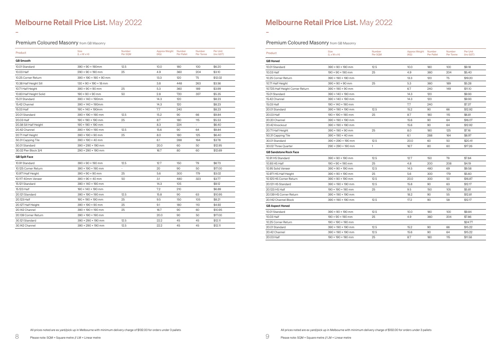| Product                 | <b>Size</b><br>$(L \times W \times H)$   | <b>Number</b><br>Per SQM | Approx Weight<br>(KG) | Number<br><b>Per Pallet</b> | Number<br>Per Tonne | Per Unit<br>(inc GST) |
|-------------------------|------------------------------------------|--------------------------|-----------------------|-----------------------------|---------------------|-----------------------|
| <b>GB</b> Smooth        |                                          |                          |                       |                             |                     |                       |
| 10.01 Standard          | $390 \times 90 \times 190$ mm            | 12.5                     | 10.0                  | 180                         | 100                 | \$6.20                |
| 10.03 Half              | $290 \times 90 \times 190$ mm            | 25                       | 4.9                   | 360                         | 204                 | \$3.10                |
| 10.25 Corner Return     | $390 \times 190 \times 190 \times 90$ mm |                          | 13.3                  | 120                         | 75                  | \$12.02               |
| 10.38 Half Height Sill  | $130 \times 90 \times 190 \times 18$ mm  |                          | 3.8                   | 448                         | 263                 | \$3.56                |
| 10.71 Half Height       | $390 \times 90 \times 90$ mm             | 25                       | 5.3                   | 360                         | 189                 | \$3.99                |
| 10.83 Half Height Solid | $190 \times 90 \times 90$ mm             | 50                       | 2.8                   | 720                         | 357                 | \$5.35                |
| 15.01 Standard          | 390 × 140 × 190mm                        |                          | 14.3                  | 120                         |                     | \$8.23                |
| 15.42 Channel           | 390 × 140 × 190mm                        |                          | 14.3                  | 120                         |                     | \$8.23                |
| 15.03 Half              | $190 \times 140 \times 190$ mm           |                          | 7.7                   | 240                         |                     | \$8.23                |
| 20.01 Standard          | $390 \times 190 \times 190$ mm           | 12.5                     | 15.2                  | 90                          | 66                  | \$9.84                |
| 20.03 Half              | $190 \times 190 \times 190$ mm           | 25                       | 8.7                   | 180                         | 115                 | \$5.53                |
| 20.38 Sill Half Height  | $190 \times 190 \times 190$ mm           |                          | 8.3                   | 224                         |                     | \$6.40                |
| 20.42 Channel           | $390 \times 190 \times 190$ mm           | 12.5                     | 15.6                  | 90                          | 64                  | \$9.84                |
| 20.71 Half Height       | $390 \times 190 \times 90$ mm            | 25                       | 8.0                   | 180                         | 125                 | \$6.40                |
| 50.31 Capping Tile      | $390 \times 190 \times 40$ mm            |                          | 6.1                   | 288                         | 164                 | \$3.78                |
| 30.01 Standard          | $390 \times 290 \times 190$ mm           |                          | 20.0                  | 60                          | 50                  | \$12.95               |
| 30.02 Pier Block 3/4    | $290 \times 290 \times 190$ mm           |                          | 16.7                  | 80                          | 60                  | \$12.69               |
| <b>GB Split Face</b>    |                                          |                          |                       |                             |                     |                       |
| 10.91 Standard          | $390 \times 90 \times 190$ mm            | 12.5                     | 12.7                  | 150                         | 79                  | \$6.73                |
| 10.125 Corner Return    | $390 \times 190 \times 190$ mm           |                          | 20                    | 90                          | 50                  | \$17.00               |
| 10.971 Half Height      | $390 \times 90 \times 90$ mm             | 25                       | 5.6                   | 300                         | 179                 | \$3.02                |
| 10.117 40mm Veneer      | $390 \times 90 \times 40$ mm             | 50                       | 3.1                   | 480                         | 323                 | \$3.77                |
| 15.121 Standard         | 390 × 140 × 190 mm                       |                          | 14.3                  | 105                         |                     | \$9.12                |
| 15.123 Half             | $190 \times 140 \times 190$ mm           |                          | 7.2                   | 210                         |                     | \$6.89                |
| 20.121 Standard         | $390 \times 190 \times 190$ mm           | 12.5                     | 15.8                  | 90                          | 63                  | \$10.95               |
| 20.123 Half             | 190 × 190 × 190 mm                       | 25                       | 9.5                   | 150                         | 105                 | \$8.21                |
| 20.127 Half Height      | $390 \times 190 \times 90$ mm            | 25                       | 9.1                   | 180                         | 110                 | \$4.92                |
| 20.142 Channel          | 390 × 190 × 190 mm                       | 25                       | 16.7                  | 90                          | 60                  | \$10.95               |
| 20.139 Corner Return    | 390 × 190 × 190 mm                       |                          | 20.0                  | 90                          | 50                  | \$17.00               |
| 30.121 Standard         | 390 × 290 × 190 mm                       | 12.5                     | 22.2                  | 45                          | 45                  | \$12.11               |
| 30.142 Channel          | $390 \times 290 \times 190$ mm           | 12.5                     | 22.2                  | 45                          | 45                  | \$12.11               |
|                         |                                          |                          |                       |                             |                     |                       |

### Premium Coloured Masonry from GB Masonry

| Product                          | <b>Size</b><br>$(L \times W \times H)$ | Number<br>Per SQM | <b>Approx Weight</b><br>(KG) | Number<br><b>Per Pallet</b> | Number<br>Per Tonne | Per Unit<br>(inc GST) |
|----------------------------------|----------------------------------------|-------------------|------------------------------|-----------------------------|---------------------|-----------------------|
| <b>GB</b> Honed                  |                                        |                   |                              |                             |                     |                       |
| 10.01 Standard                   | $390 \times 90 \times 190$ mm          | 12.5              | 10.0                         | 180                         | 100                 | \$9.18                |
| 10.03 Half                       | $190 \times 90 \times 190$ mm          | 25                | 4.9                          | 360                         | 204                 | \$5.40                |
| 10.25 Corner Return              | 390 × 190 × 190 mm                     |                   | 13.3                         | 120                         | 75                  | \$19.20               |
| 10.71 Half Height                | $390 \times 90 \times 90$ mm           | 25                | 5.3                          | 360                         | 189                 | \$5.28                |
| 10.725 Half Height Corner Return | $390 \times 190 \times 90$ mm          |                   | 6.7                          | 240                         | 149                 | \$11.10               |
| 15.01 Standard                   | 390 × 140 × 190 mm                     |                   | 14.3                         | 120                         |                     | \$9.93                |
| 15.42 Channel                    | 390 × 140 × 190 mm                     |                   | 14.3                         | 120                         |                     | \$9.93                |
| 15.03 Half                       | $190 \times 140 \times 190$ mm         |                   | 7.7                          | 240                         |                     | \$7.37                |
| 20.01 Standard                   | $390 \times 190 \times 190$ mm         | 12.5              | 15.2                         | 90                          | 66                  | \$12.92               |
| 20.03 Half                       | $190 \times 190 \times 190$ mm         | 25                | 8.7                          | 180                         | 115                 | \$6.81                |
| 20.20 Channel                    | 390 × 190 × 190 mm                     |                   | 15.6                         | 90                          | 64                  | \$16.07               |
| 20.42 Knockout                   | 390 × 190 × 190 mm                     |                   | 15.6                         | 90                          | 64                  | \$12.92               |
| 20.71 Half Height                | $390 \times 190 \times 90$ mm          | 25                | 8.0                          | 180                         | 125                 | \$7.16                |
| 50.31 Capping Tile               | $390 \times 190 \times 40$ mm          |                   | 6.1                          | 288                         | 164                 | \$8.97                |
| 30.01 Standard                   | 390 × 290 × 190 mm                     | 12.5              | 20.0                         | 60                          | 50                  | \$20.41               |
| 30.02 Three Ouarter              | $290 \times 290 \times 190$ mm         | $\mathbf{1}$      | 16.7                         | 80                          | 60                  | \$17.26               |
| <b>GB Sandstone Rock Face</b>    |                                        |                   |                              |                             |                     |                       |
| 10.91 HS Standard                | $390 \times 90 \times 190$ mm          | 12.5              | 12.7                         | 150                         | 79                  | \$7.84                |
| 10.93 HS Half                    | $190 \times 90 \times 190$ mm          | 25                | 4.8                          | 200                         | 208                 | \$4.19                |
| 10.95 Solid Veneer               | $390 \times 90 \times 190$ mm          | 12.5              | 14.5                         | 480                         | 69                  | \$9.58                |
| 10.971 HS Half Height            | $390 \times 90 \times 190$ mm          | 25                | 5.6                          | 300                         | 179                 | \$5.60                |
| 10.125 HS Corner Return          | $390 \times 90 \times 190$ mm          | 12.5              | 20.0                         | 300                         | 50                  | \$16.87               |
| 20.121 HS Standard               | 390 × 190 × 190 mm                     | 12.5              | 15.8                         | 90                          | 63                  | \$12.17               |
| 20.123 HS Half                   | $190 \times 190 \times 190$ mm         | 25                | 9.5                          | 150                         | 105                 | \$5.81                |
| 20.139 HS Corner Return          | 390 × 190 × 190 mm                     |                   | 18.2                         | 90                          | 55                  | \$12.81               |
| 20.142 Channel Block             | 390 × 190 × 190 mm                     | 12.5              | 17.2                         | 90                          | 58                  | \$12.17               |
| <b>GB Aspect Honed</b>           |                                        |                   |                              |                             |                     |                       |
| 10.01 Standard                   | $390 \times 90 \times 190$ mm          | 12.5              | 10.0                         | 180                         | 100                 | \$9.84                |
| 10.03 Half                       | $190 \times 90 \times 190$ mm          | 25                | 4.9                          | 360                         | 204                 | \$7.86                |
| 10.25 Corner Return              | $190 \times 190 \times 190$ mm         |                   |                              |                             |                     | \$24.77               |
| 20.01 Standard                   | 390 × 190 × 190 mm                     | 12.5              | 15.2                         | 90                          | 66                  | \$15.22               |
| 20.42 Channel                    | 390 × 190 × 190 mm                     | 12.5              | 15.6                         | 90                          | 64                  | \$15.22               |
| 20.03 Half                       | 190 × 190 × 190 mm                     | 25                | 8.7                          | 180                         | 115                 | \$11.58               |

# Premium Coloured Masonry from GB Masonry

-

# Melbourne Retail Price List. May 2022

-

All prices noted are ex yard/pick up in Melbourne with minimum delivery charge of \$132.00 for orders under 3 pallets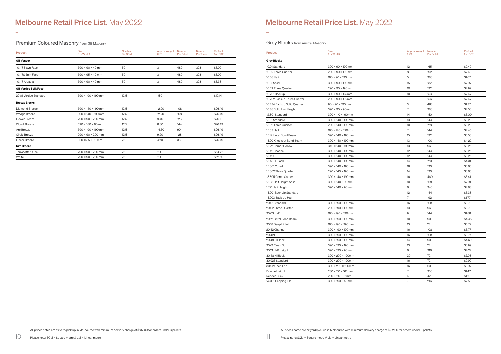| Product                      | <b>Size</b><br>$(L \times W \times H)$ | Number<br>Per SQM | <b>Approx Weight</b><br>(KG) | Number<br><b>Per Pallet</b> | Number<br>Per Tonne | <b>Per Unit</b><br>(inc GST) |
|------------------------------|----------------------------------------|-------------------|------------------------------|-----------------------------|---------------------|------------------------------|
| <b>GB</b> Veneer             |                                        |                   |                              |                             |                     |                              |
| 10.117 Sawn Face             | $390 \times 90 \times 40$ mm           | 50                | 3.1                          | 480                         | 323                 | \$3.02                       |
| 10.117S Split Face           | $390 \times 95 \times 40$ mm           | 50                | 3.1                          | 480                         | 323                 | \$3.02                       |
| 10.117 Arcadia               | $390 \times 90 \times 40$ mm           | 50                | 3.1                          | 480                         | 323                 | \$3.38                       |
| <b>GB Vertico Split Face</b> |                                        |                   |                              |                             |                     |                              |
| 20.01 Vertico Standard       | $390 \times 190 \times 190$ mm         | 12.5              | 15.0                         |                             |                     | \$10.14                      |
| <b>Breeze Blocks</b>         |                                        |                   |                              |                             |                     |                              |
| Diamond Breeze               | $390 \times 140 \times 190$ mm         | 12.5              | 12.20                        | 108                         |                     | \$26.49                      |
| Wedge Breeze                 | $390 \times 140 \times 190$ mm         | 12.5              | 12.20                        | 108                         |                     | \$26.49                      |
| Flower Breeze                | $290 \times 90 \times 290$ mm          | 12.5              | 9.40                         | 128                         |                     | \$20.13                      |
| Cloud Breeze                 | $390 \times 180 \times 90$ mm          | 12.5              | 8.30                         | 144                         |                     | \$26.49                      |
| Arc Breeze                   | $390 \times 190 \times 190$ mm         | 12.5              | 14.50                        | 90                          |                     | \$26.49                      |
| Circle Breeze                | $290 \times 90 \times 290$ mm          | 12.5              | 9.20                         | 128                         |                     | \$26.49                      |
| Linear Breeze                | $390 \times 85 \times 90$ mm           | 25                | 4.70                         | 360                         |                     | \$26.49                      |
| <b>Kite Breeze</b>           |                                        |                   |                              |                             |                     |                              |
| Terracotta/Dune              | $290 \times 90 \times 290$ mm          | 25                | 11.1                         |                             |                     | \$54.77                      |
| White                        | $290 \times 90 \times 290$ mm          | 25                | 11.1                         |                             |                     | \$62.60                      |

| Product                     | <b>Size</b><br>$(L \times W \times H)$ | Approx Weight Number<br>(KG) | <b>Per Pallet</b> | Per Unit<br>(inc GST) |
|-----------------------------|----------------------------------------|------------------------------|-------------------|-----------------------|
| <b>Grey Blocks</b>          |                                        |                              |                   |                       |
| 10.01 Standard              | $390 \times 90 \times 190$ mm          | 12                           | 165               | \$2.49                |
| 10.02 Three Ouarter         | $290 \times 90 \times 190$ mm          | 8                            | 192               | \$2.49                |
| 10.03 Half                  | $190 \times 90 \times 190$ mm          | 5                            | 288               | \$1.67                |
| 10.31 Solid                 | $390 \times 90 \times 190$ mm          | 15                           | 132               | \$2.97                |
| 10.32 Three Quarter         | $290 \times 90 \times 190$ mm          | 10                           | 192               | \$2.97                |
| 10.201 Backup               | $390 \times 90 \times 162$ mm          | 10                           | 153               | \$2.47                |
| 10.202 Backup Three Quarter | $290 \times 90 \times 192$ mm          | $\sqrt{7}$                   | 156               | \$2.47                |
| 10.234 Backup Solid Quarter | $90 \times 90 \times 190$ mm           | 3                            | 468               | \$1.37                |
| 10.83 Solid Half Height     | $390 \times 90 \times 90$ mm           | $\sqrt{ }$                   | 288               | \$2.50                |
| 12.801 Standard             | $390 \times 110 \times 190$ mm         | 14                           | 150               | \$3.00                |
| 15.01 Standard              | 390 × 140 × 190mm                      | 13                           | 144               | \$3.29                |
| 15.02 Three Quarter         | $290 \times 140 \times 190$ mm         | 10                           | 128               | \$3.29                |
| 15.03 Half                  | $190 \times 140 \times 190$ mm         | $\sqrt{7}$                   | 144               | \$2.46                |
| 15.12 Lintel Bond Beam      | $390 \times 140 \times 190$ mm         | 15                           | 192               | \$3.58                |
| 15.20 Knockout Bond Beam    | $390 \times 140 \times 190$ mm         | 13                           | 100               | \$4.22                |
| 15.22 Corner Hollow         | $340 \times 140 \times 190$ mm         | 13                           | 96                | \$3.26                |
| 15.42 Channel               | $390 \times 140 \times 190$ mm         | 12                           | 144               | \$3.26                |
| 15.421                      | 390 × 140 × 190mm                      | 12                           | 144               | \$3.26                |
| 15.48 H Block               | $390 \times 140 \times 190$ mm         | 14                           | 120               | \$4.31                |
| 15.801 Cored                | 390 × 140 × 190mm                      | 18                           | 120               | \$3.60                |
| 15.802 Three Quarter        | $290 \times 140 \times 190$ mm         | 14                           | 120               | \$3.60                |
| 15.805 Cored Corner         | $390 \times 140 \times 190$ mm         | 16                           | 480               | \$3.41                |
| 15.83 Half Height Solid     | $390 \times 140 \times 90$ mm          | 10                           | 168               | \$2.91                |
| 15.71 Half Height           | $390 \times 140 \times 90$ mm          | 6                            | 240               | \$2.88                |
| 15.201 Back Up Standard     |                                        | 12                           | 144               | \$3.38                |
| 15.203 Back Up Half         |                                        | $\sqrt{7}$                   | 192               | \$1.77                |
| 20.01 Standard              | 390 × 190 × 190mm                      | 16                           | 108               | \$3.79                |
| 20.02 Three Quarter         | $290 \times 190 \times 190$ mm         | 13                           | 96                | \$3.79                |
| 20.03 Half                  | 190 × 190 × 190mm                      | 9                            | 144               | \$1.88                |
| 20.12 Lintel Bond Beam      | $390 \times 190 \times 190$ mm         | 10                           | 90                | \$4.45                |
| 20.18 Deep Lintel           | $190 \times 190 \times 390$ mm         | 13                           | 72                | \$6.77                |
| 20.42 Channel               | $390 \times 190 \times 190$ mm         | 16                           | 108               | \$3.77                |
| 20.421                      | 390 × 190 × 190mm                      | 16                           | 108               | \$3.77                |
| 20.48 H Block               | $390 \times 190 \times 190$ mm         | 14                           | 90                | \$4.69                |
| 20.61 Clean Out             | $390 \times 190 \times 190$ mm         | 13                           | 72                | \$5.99                |
| 20.71 Half Height           | $390 \times 190 \times 90$ mm          | 6                            | 216               | \$4.27                |
| 30.48 H Block               | $390 \times 290 \times 190$ mm         | 20                           | 72                | \$7.08                |
| 30.925 Standard             | $390 \times 290 \times 190$ mm         | 16                           | 72                | \$9.92                |
| 30.92 Open End              | $390 \times 290 \times 190$ mm         | 16                           | 60                | \$9.92                |
| Double Height               | $230 \times 110 \times 162$ mm         | $\,7$                        | 250               | \$1.47                |
| Render Brick                | $230 \times 110 \times 76$ mm          | $\overline{4}$               | 420               | \$1.10                |
| V5031 Capping Tile          | $390 \times 190 \times 40$ mm          | $\,7$                        | 216               | \$2.53                |

Premium Coloured Masonry from GB Masonry

-

# Melbourne Retail Price List. May 2022

-

# **Grey Blocks** from Austral Masonry

All prices noted are ex yard/pick up in Melbourne with minimum delivery charge of \$132.00 for orders under 3 pallets

All prices noted are ex yard/pick up in Melbourne with minimum delivery charge of \$132.00 for orders under 3 pallets